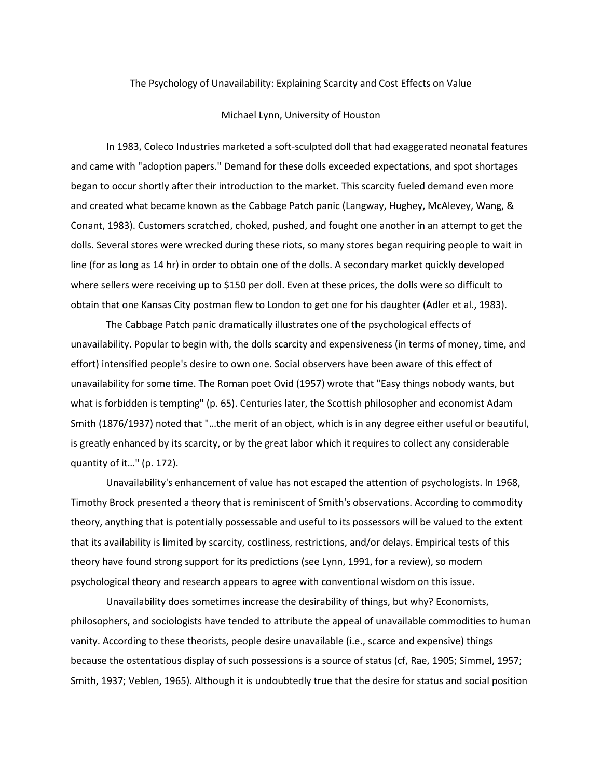## The Psychology of Unavailability: Explaining Scarcity and Cost Effects on Value

## Michael Lynn, University of Houston

In 1983, Coleco Industries marketed a soft-sculpted doll that had exaggerated neonatal features and came with "adoption papers." Demand for these dolls exceeded expectations, and spot shortages began to occur shortly after their introduction to the market. This scarcity fueled demand even more and created what became known as the Cabbage Patch panic (Langway, Hughey, McAlevey, Wang, & Conant, 1983). Customers scratched, choked, pushed, and fought one another in an attempt to get the dolls. Several stores were wrecked during these riots, so many stores began requiring people to wait in line (for as long as 14 hr) in order to obtain one of the dolls. A secondary market quickly developed where sellers were receiving up to \$150 per doll. Even at these prices, the dolls were so difficult to obtain that one Kansas City postman flew to London to get one for his daughter (Adler et al., 1983).

The Cabbage Patch panic dramatically illustrates one of the psychological effects of unavailability. Popular to begin with, the dolls scarcity and expensiveness (in terms of money, time, and effort) intensified people's desire to own one. Social observers have been aware of this effect of unavailability for some time. The Roman poet Ovid (1957) wrote that "Easy things nobody wants, but what is forbidden is tempting" (p. 65). Centuries later, the Scottish philosopher and economist Adam Smith (1876/1937) noted that "…the merit of an object, which is in any degree either useful or beautiful, is greatly enhanced by its scarcity, or by the great labor which it requires to collect any considerable quantity of it…" (p. 172).

Unavailability's enhancement of value has not escaped the attention of psychologists. In 1968, Timothy Brock presented a theory that is reminiscent of Smith's observations. According to commodity theory, anything that is potentially possessable and useful to its possessors will be valued to the extent that its availability is limited by scarcity, costliness, restrictions, and/or delays. Empirical tests of this theory have found strong support for its predictions (see Lynn, 1991, for a review), so modem psychological theory and research appears to agree with conventional wisdom on this issue.

Unavailability does sometimes increase the desirability of things, but why? Economists, philosophers, and sociologists have tended to attribute the appeal of unavailable commodities to human vanity. According to these theorists, people desire unavailable (i.e., scarce and expensive) things because the ostentatious display of such possessions is a source of status (cf, Rae, 1905; Simmel, 1957; Smith, 1937; Veblen, 1965). Although it is undoubtedly true that the desire for status and social position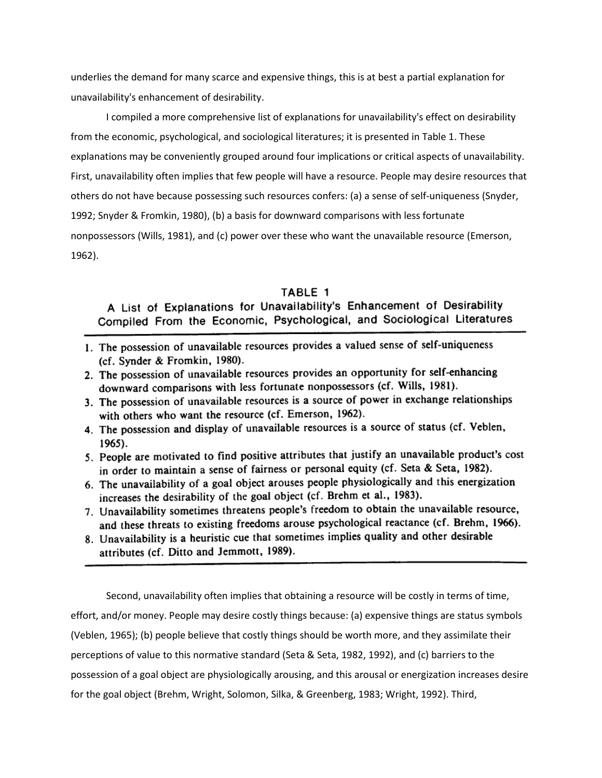underlies the demand for many scarce and expensive things, this is at best a partial explanation for unavailability's enhancement of desirability.

I compiled a more comprehensive list of explanations for unavailability's effect on desirability from the economic, psychological, and sociological literatures; it is presented in Table 1. These explanations may be conveniently grouped around four implications or critical aspects of unavailability. First, unavailability often implies that few people will have a resource. People may desire resources that others do not have because possessing such resources confers: (a) a sense of self-uniqueness (Snyder, 1992; Snyder & Fromkin, 1980), (b) a basis for downward comparisons with less fortunate nonpossessors (Wills, 1981), and (c) power over these who want the unavailable resource (Emerson, 1962).

## TABLE 1

A List of Explanations for Unavailability's Enhancement of Desirability Compiled From the Economic, Psychological, and Sociological Literatures

- 1. The possession of unavailable resources provides a valued sense of self-uniqueness (cf. Synder & Fromkin, 1980).
- 2. The possession of unavailable resources provides an opportunity for self-enhancing downward comparisons with less fortunate nonpossessors (cf. Wills, 1981).
- 3. The possession of unavailable resources is a source of power in exchange relationships with others who want the resource (cf. Emerson, 1962).
- 4. The possession and display of unavailable resources is a source of status (cf. Veblen, 1965).
- 5. People are motivated to find positive attributes that justify an unavailable product's cost in order to maintain a sense of fairness or personal equity (cf. Seta & Seta, 1982).
- 6. The unavailability of a goal object arouses people physiologically and this energization increases the desirability of the goal object (cf. Brehm et al., 1983).
- 7. Unavailability sometimes threatens people's freedom to obtain the unavailable resource. and these threats to existing freedoms arouse psychological reactance (cf. Brehm, 1966).
- 8. Unavailability is a heuristic cue that sometimes implies quality and other desirable attributes (cf. Ditto and Jemmott, 1989).

Second, unavailability often implies that obtaining a resource will be costly in terms of time, effort, and/or money. People may desire costly things because: (a) expensive things are status symbols (Veblen, 1965); (b) people believe that costly things should be worth more, and they assimilate their perceptions of value to this normative standard (Seta & Seta, 1982, 1992), and (c) barriers to the possession of a goal object are physiologically arousing, and this arousal or energization increases desire for the goal object (Brehm, Wright, Solomon, Silka, & Greenberg, 1983; Wright, 1992). Third,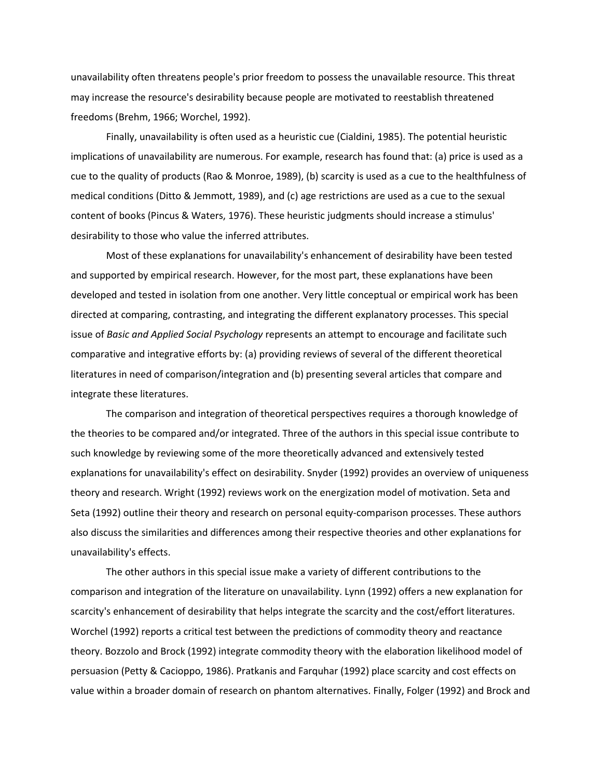unavailability often threatens people's prior freedom to possess the unavailable resource. This threat may increase the resource's desirability because people are motivated to reestablish threatened freedoms (Brehm, 1966; Worchel, 1992).

Finally, unavailability is often used as a heuristic cue (Cialdini, 1985). The potential heuristic implications of unavailability are numerous. For example, research has found that: (a) price is used as a cue to the quality of products (Rao & Monroe, 1989), (b) scarcity is used as a cue to the healthfulness of medical conditions (Ditto & Jemmott, 1989), and (c) age restrictions are used as a cue to the sexual content of books (Pincus & Waters, 1976). These heuristic judgments should increase a stimulus' desirability to those who value the inferred attributes.

Most of these explanations for unavailability's enhancement of desirability have been tested and supported by empirical research. However, for the most part, these explanations have been developed and tested in isolation from one another. Very little conceptual or empirical work has been directed at comparing, contrasting, and integrating the different explanatory processes. This special issue of *Basic and Applied Social Psychology* represents an attempt to encourage and facilitate such comparative and integrative efforts by: (a) providing reviews of several of the different theoretical literatures in need of comparison/integration and (b) presenting several articles that compare and integrate these literatures.

The comparison and integration of theoretical perspectives requires a thorough knowledge of the theories to be compared and/or integrated. Three of the authors in this special issue contribute to such knowledge by reviewing some of the more theoretically advanced and extensively tested explanations for unavailability's effect on desirability. Snyder (1992) provides an overview of uniqueness theory and research. Wright (1992) reviews work on the energization model of motivation. Seta and Seta (1992) outline their theory and research on personal equity-comparison processes. These authors also discuss the similarities and differences among their respective theories and other explanations for unavailability's effects.

The other authors in this special issue make a variety of different contributions to the comparison and integration of the literature on unavailability. Lynn (1992) offers a new explanation for scarcity's enhancement of desirability that helps integrate the scarcity and the cost/effort literatures. Worchel (1992) reports a critical test between the predictions of commodity theory and reactance theory. Bozzolo and Brock (1992) integrate commodity theory with the elaboration likelihood model of persuasion (Petty & Cacioppo, 1986). Pratkanis and Farquhar (1992) place scarcity and cost effects on value within a broader domain of research on phantom alternatives. Finally, Folger (1992) and Brock and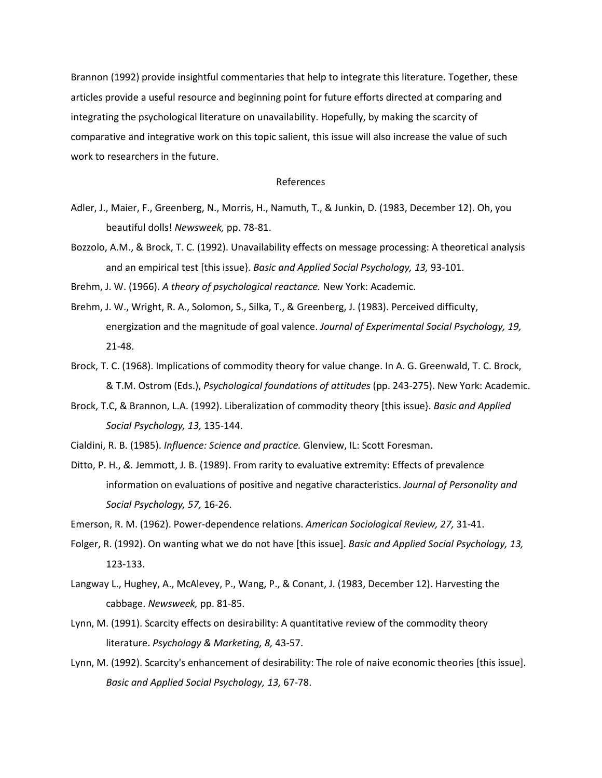Brannon (1992) provide insightful commentaries that help to integrate this literature. Together, these articles provide a useful resource and beginning point for future efforts directed at comparing and integrating the psychological literature on unavailability. Hopefully, by making the scarcity of comparative and integrative work on this topic salient, this issue will also increase the value of such work to researchers in the future.

## References

- Adler, J., Maier, F., Greenberg, N., Morris, H., Namuth, T., & Junkin, D. (1983, December 12). Oh, you beautiful dolls! *Newsweek,* pp. 78-81.
- Bozzolo, A.M., & Brock, T. C. (1992). Unavailability effects on message processing: A theoretical analysis and an empirical test [this issue}. *Basic and Applied Social Psychology, 13,* 93-101.

Brehm, J. W. (1966). *A theory of psychological reactance.* New York: Academic.

- Brehm, J. W., Wright, R. A., Solomon, S., Silka, T., & Greenberg, J. (1983). Perceived difficulty, energization and the magnitude of goal valence. *Journal of Experimental Social Psychology, 19,*  21-48.
- Brock, T. C. (1968). Implications of commodity theory for value change. In A. G. Greenwald, T. C. Brock, & T.M. Ostrom (Eds.), *Psychological foundations of attitudes* (pp. 243-275). New York: Academic.
- Brock, T.C, & Brannon, L.A. (1992). Liberalization of commodity theory [this issue}. *Basic and Applied Social Psychology, 13,* 135-144.

Cialdini, R. B. (1985). *Influence: Science and practice.* Glenview, IL: Scott Foresman.

Ditto, P. H., *&.* Jemmott, J. B. (1989). From rarity to evaluative extremity: Effects of prevalence information on evaluations of positive and negative characteristics. *Journal of Personality and Social Psychology, 57,* 16-26.

Emerson, R. M. (1962). Power-dependence relations. *American Sociological Review, 27,* 31-41.

- Folger, R. (1992). On wanting what we do not have [this issue]. *Basic and Applied Social Psychology, 13,*  123-133.
- Langway L., Hughey, A., McAlevey, P., Wang, P., & Conant, J. (1983, December 12). Harvesting the cabbage. *Newsweek,* pp. 81-85.
- Lynn, M. (1991). Scarcity effects on desirability: A quantitative review of the commodity theory literature. *Psychology & Marketing, 8,* 43-57.
- Lynn, M. (1992). Scarcity's enhancement of desirability: The role of naive economic theories [this issue]. *Basic and Applied Social Psychology, 13,* 67-78.